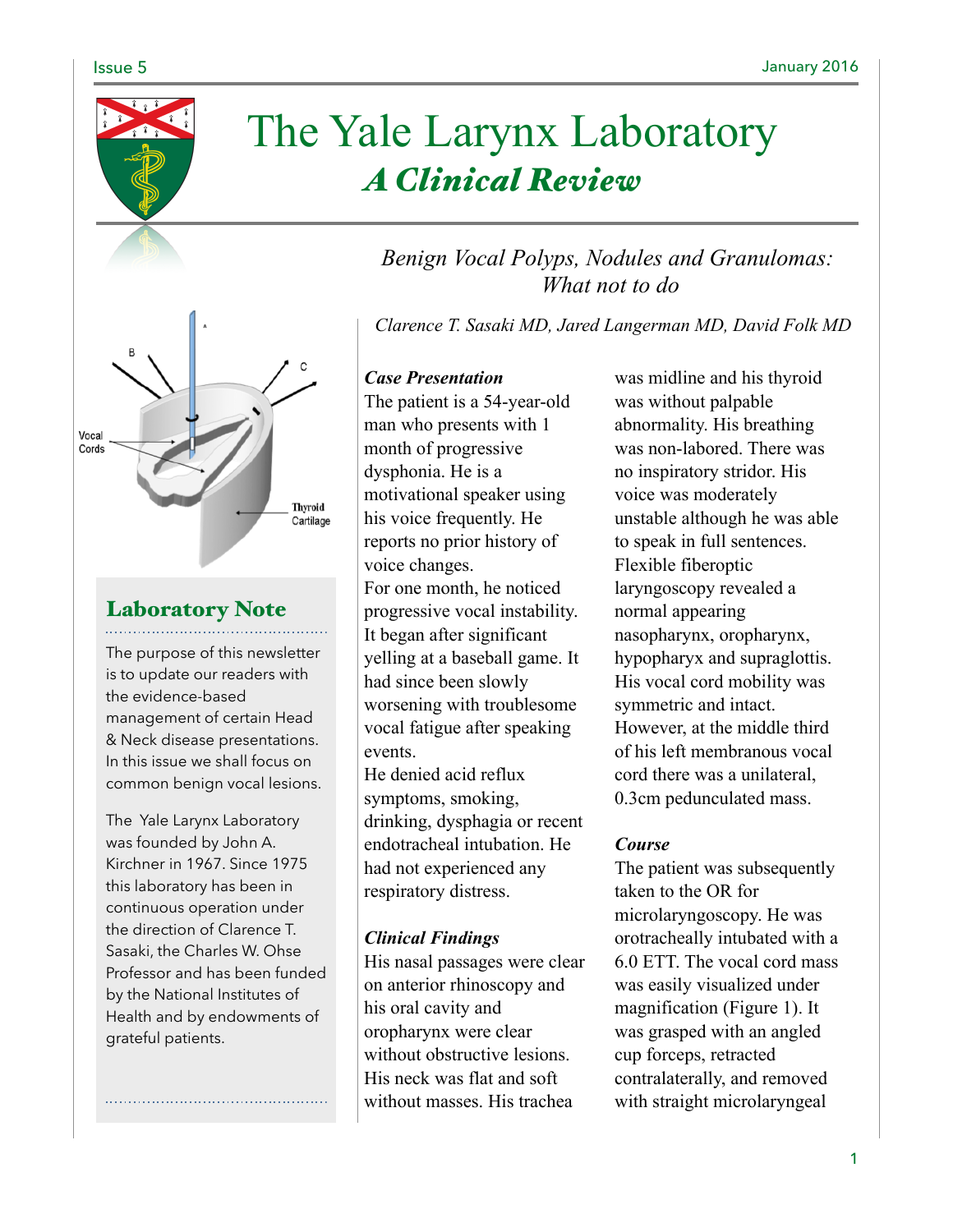

# The Yale Larynx Laboratory *A Clinical Review*

## *Benign Vocal Polyps, Nodules and Granulomas: What not to do*

*Clarence T. Sasaki MD, Jared Langerman MD, David Folk MD*

### *Case Presentation*

The patient is a 54-year-old man who presents with 1 month of progressive dysphonia. He is a motivational speaker using his voice frequently. He reports no prior history of voice changes. For one month, he noticed progressive vocal instability. It began after significant yelling at a baseball game. It had since been slowly worsening with troublesome vocal fatigue after speaking events. He denied acid reflux

symptoms, smoking, drinking, dysphagia or recent endotracheal intubation. He had not experienced any respiratory distress.

### *Clinical Findings*

His nasal passages were clear on anterior rhinoscopy and his oral cavity and oropharynx were clear without obstructive lesions. His neck was flat and soft without masses. His trachea

was midline and his thyroid was without palpable abnormality. His breathing was non-labored. There was no inspiratory stridor. His voice was moderately unstable although he was able to speak in full sentences. Flexible fiberoptic laryngoscopy revealed a normal appearing nasopharynx, oropharynx, hypopharyx and supraglottis. His vocal cord mobility was symmetric and intact. However, at the middle third of his left membranous vocal cord there was a unilateral, 0.3cm pedunculated mass.

### *Course*

The patient was subsequently taken to the OR for microlaryngoscopy. He was orotracheally intubated with a 6.0 ETT. The vocal cord mass was easily visualized under magnification (Figure 1). It was grasped with an angled cup forceps, retracted contralaterally, and removed with straight microlaryngeal

Vocal Cords **Thyroid** Cartilage

# Laboratory Note

The purpose of this newsletter is to update our readers with the evidence-based management of certain Head & Neck disease presentations. In this issue we shall focus on common benign vocal lesions.

The Yale Larynx Laboratory was founded by John A. Kirchner in 1967. Since 1975 this laboratory has been in continuous operation under the direction of Clarence T. Sasaki, the Charles W. Ohse Professor and has been funded by the National Institutes of Health and by endowments of grateful patients.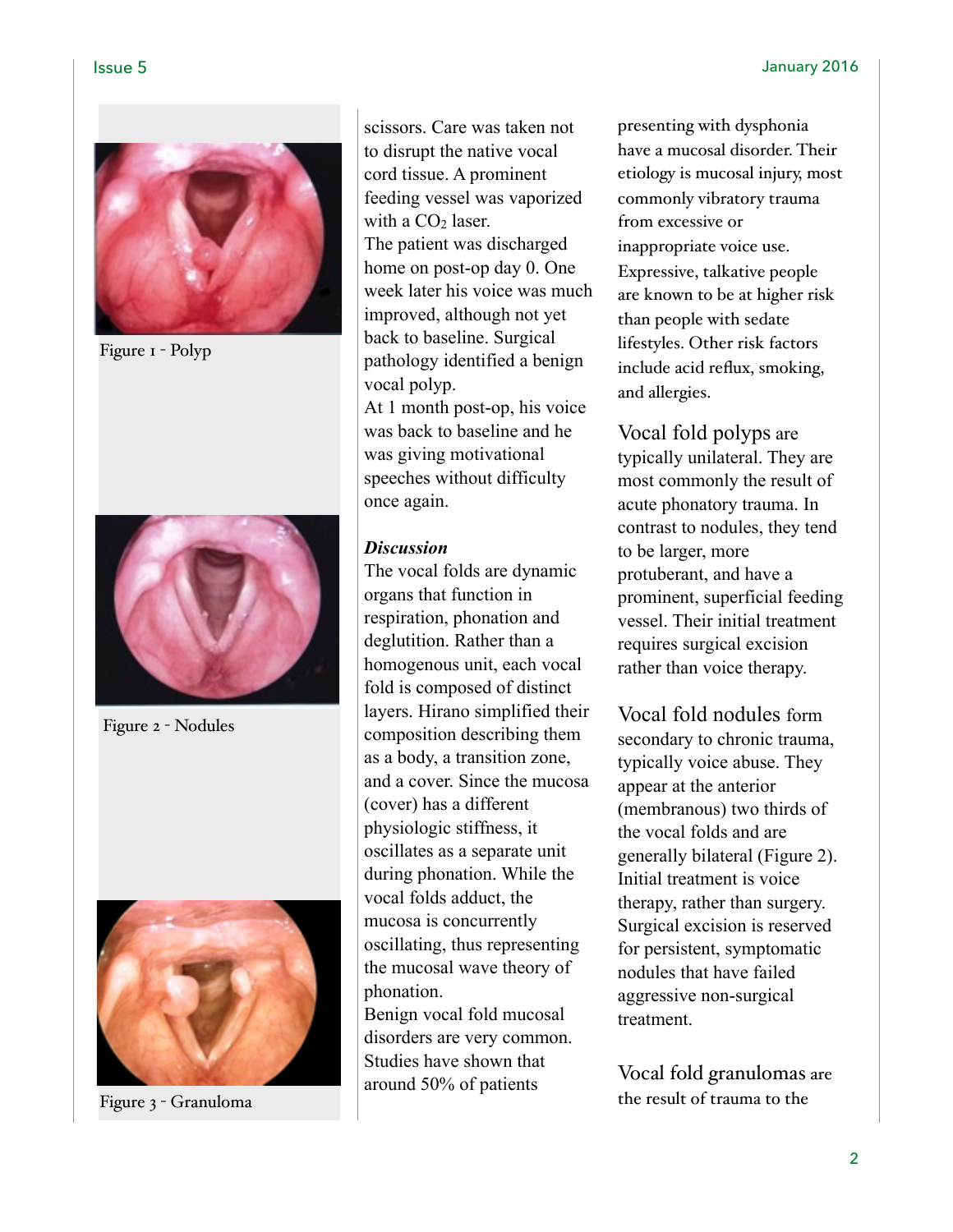

Figure 1 - Polyp



Figure 2 - Nodules



Figure 3 - Granuloma

scissors. Care was taken not to disrupt the native vocal cord tissue. A prominent feeding vessel was vaporized with a  $CO<sub>2</sub>$  laser. The patient was discharged home on post-op day 0. One week later his voice was much improved, although not yet back to baseline. Surgical pathology identified a benign vocal polyp.

At 1 month post-op, his voice was back to baseline and he was giving motivational speeches without difficulty once again.

### *Discussion*

The vocal folds are dynamic organs that function in respiration, phonation and deglutition. Rather than a homogenous unit, each vocal fold is composed of distinct layers. Hirano simplified their composition describing them as a body, a transition zone, and a cover. Since the mucosa (cover) has a different physiologic stiffness, it oscillates as a separate unit during phonation. While the vocal folds adduct, the mucosa is concurrently oscillating, thus representing the mucosal wave theory of phonation.

Benign vocal fold mucosal disorders are very common. Studies have shown that around 50% of patients

presenting with dysphonia have a mucosal disorder. Their etiology is mucosal injury, most commonly vibratory trauma from excessive or inappropriate voice use. Expressive, talkative people are known to be at higher risk than people with sedate lifestyles. Other risk factors include acid reflux, smoking, and allergies.

Vocal fold polyps are typically unilateral. They are most commonly the result of acute phonatory trauma. In contrast to nodules, they tend to be larger, more protuberant, and have a prominent, superficial feeding vessel. Their initial treatment requires surgical excision rather than voice therapy.

Vocal fold nodules form secondary to chronic trauma, typically voice abuse. They appear at the anterior (membranous) two thirds of the vocal folds and are generally bilateral (Figure 2). Initial treatment is voice therapy, rather than surgery. Surgical excision is reserved for persistent, symptomatic nodules that have failed aggressive non-surgical treatment.

Vocal fold granulomas are the result of trauma to the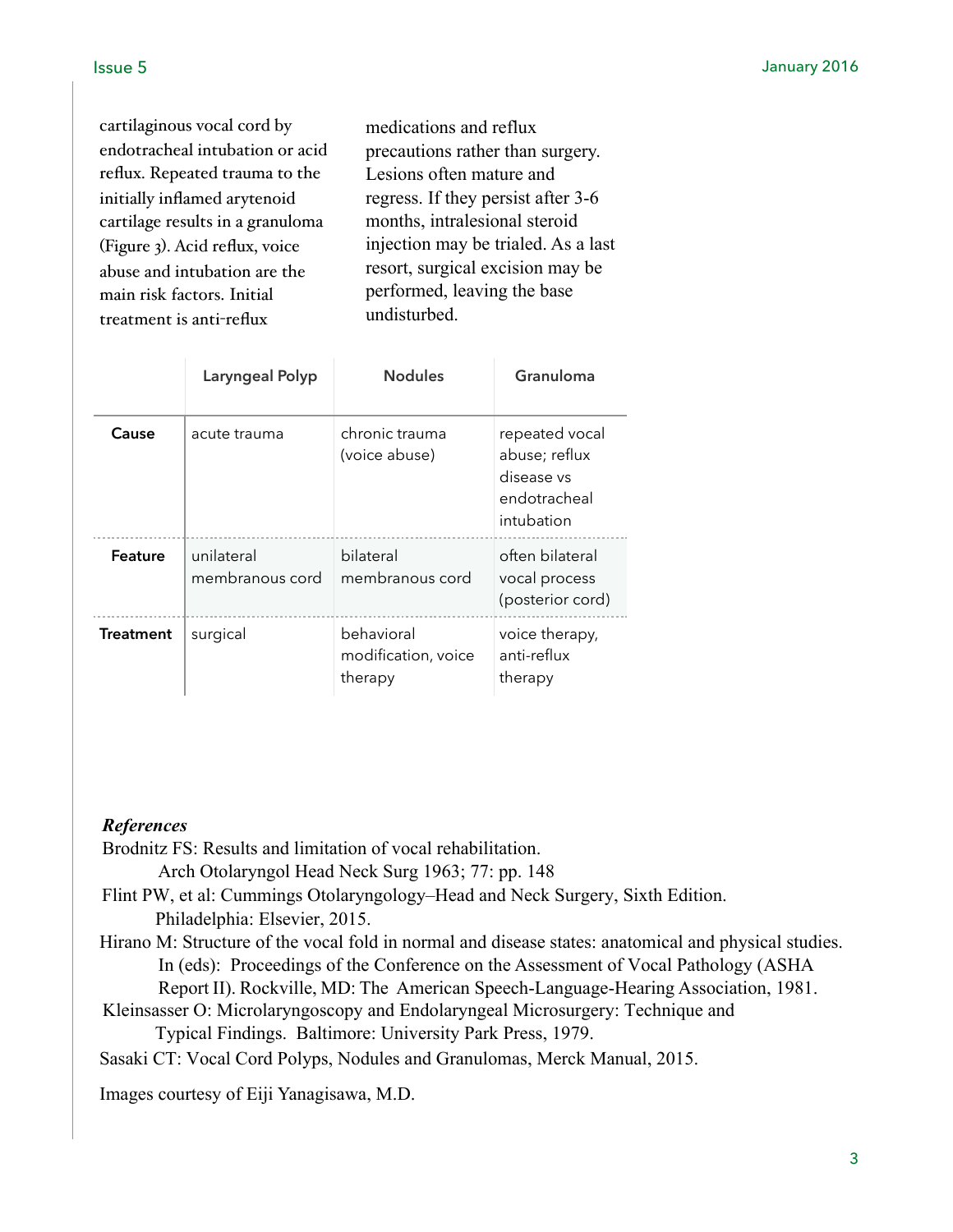cartilaginous vocal cord by endotracheal intubation or acid reflux. Repeated trauma to the initially inflamed arytenoid cartilage results in a granuloma (Figure 3). Acid reflux, voice abuse and intubation are the main risk factors. Initial treatment is anti-reflux

medications and reflux precautions rather than surgery. Lesions often mature and regress. If they persist after 3-6 months, intralesional steroid injection may be trialed. As a last resort, surgical excision may be performed, leaving the base undisturbed.

|                  | Laryngeal Polyp               | <b>Nodules</b>                               | Granuloma                                                                   |
|------------------|-------------------------------|----------------------------------------------|-----------------------------------------------------------------------------|
| Cause            | acute trauma                  | chronic trauma<br>(voice abuse)              | repeated vocal<br>abuse; reflux<br>disease vs<br>endotracheal<br>intubation |
| Feature          | unilateral<br>membranous cord | bilateral<br>membranous cord                 | often bilateral<br>vocal process<br>(posterior cord)                        |
| <b>Treatment</b> | surgical                      | behavioral<br>modification, voice<br>therapy | voice therapy,<br>anti-reflux<br>therapy                                    |

### *References*

Brodnitz FS: Results and limitation of vocal rehabilitation.

Arch Otolaryngol Head Neck Surg 1963; 77: pp. 148

- Flint PW, et al: Cummings Otolaryngology–Head and Neck Surgery, Sixth Edition. Philadelphia: Elsevier, 2015.
- Hirano M: Structure of the vocal fold in normal and disease states: anatomical and physical studies. In (eds): Proceedings of the Conference on the Assessment of Vocal Pathology (ASHA Report II). Rockville, MD: The American Speech-Language-Hearing Association, 1981.
- Kleinsasser O: Microlaryngoscopy and Endolaryngeal Microsurgery: Technique and

Typical Findings. Baltimore: University Park Press, 1979.

- Sasaki CT: Vocal Cord Polyps, Nodules and Granulomas, Merck Manual, 2015.
- Images courtesy of Eiji Yanagisawa, M.D.